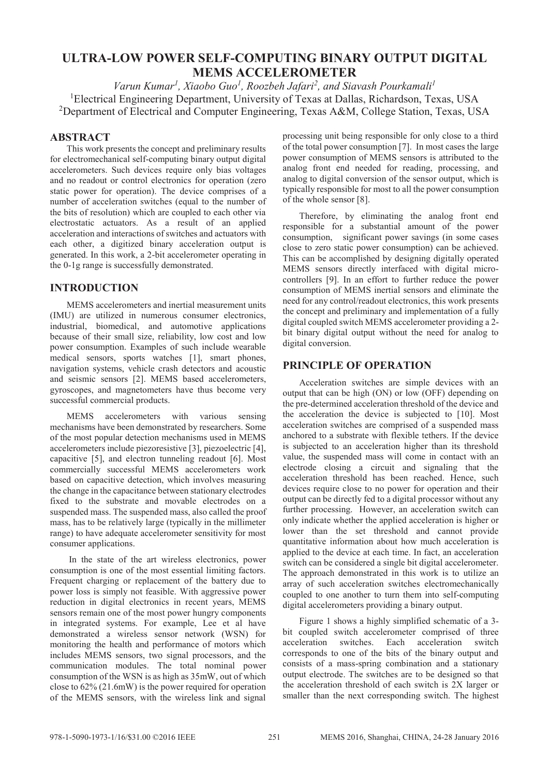# **ULTRA-LOW POWER SELF-COMPUTING BINARY OUTPUT DIGITAL MEMS ACCELEROMETER**

*Varun Kumar<sup>1</sup> , Xiaobo Guo<sup>1</sup> , Roozbeh Jafari<sup>2</sup> , and Siavash Pourkamali<sup>1</sup>* <sup>1</sup>Electrical Engineering Department, University of Texas at Dallas, Richardson, Texas, USA <sup>2</sup>Department of Electrical and Computer Engineering, Texas A&M, College Station, Texas, USA

# **ABSTRACT**

This work presents the concept and preliminary results for electromechanical self-computing binary output digital accelerometers. Such devices require only bias voltages and no readout or control electronics for operation (zero static power for operation). The device comprises of a number of acceleration switches (equal to the number of the bits of resolution) which are coupled to each other via electrostatic actuators. As a result of an applied acceleration and interactions of switches and actuators with each other, a digitized binary acceleration output is generated. In this work, a 2-bit accelerometer operating in the 0-1g range is successfully demonstrated.

# **INTRODUCTION**

MEMS accelerometers and inertial measurement units (IMU) are utilized in numerous consumer electronics, industrial, biomedical, and automotive applications because of their small size, reliability, low cost and low power consumption. Examples of such include wearable medical sensors, sports watches [1], smart phones, navigation systems, vehicle crash detectors and acoustic and seismic sensors [2]. MEMS based accelerometers, gyroscopes, and magnetometers have thus become very successful commercial products.

MEMS accelerometers with various sensing mechanisms have been demonstrated by researchers. Some of the most popular detection mechanisms used in MEMS accelerometers include piezoresistive [3], piezoelectric [4], capacitive [5], and electron tunneling readout [6]. Most commercially successful MEMS accelerometers work based on capacitive detection, which involves measuring the change in the capacitance between stationary electrodes fixed to the substrate and movable electrodes on a suspended mass. The suspended mass, also called the proof mass, has to be relatively large (typically in the millimeter range) to have adequate accelerometer sensitivity for most consumer applications.

 In the state of the art wireless electronics, power consumption is one of the most essential limiting factors. Frequent charging or replacement of the battery due to power loss is simply not feasible. With aggressive power reduction in digital electronics in recent years, MEMS sensors remain one of the most power hungry components in integrated systems. For example, Lee et al have demonstrated a wireless sensor network (WSN) for monitoring the health and performance of motors which includes MEMS sensors, two signal processors, and the communication modules. The total nominal power consumption of the WSN is as high as 35mW, out of which close to 62% (21.6mW) is the power required for operation of the MEMS sensors, with the wireless link and signal

processing unit being responsible for only close to a third of the total power consumption [7]. In most cases the large power consumption of MEMS sensors is attributed to the analog front end needed for reading, processing, and analog to digital conversion of the sensor output, which is typically responsible for most to all the power consumption of the whole sensor [8].

Therefore, by eliminating the analog front end responsible for a substantial amount of the power consumption, significant power savings (in some cases close to zero static power consumption) can be achieved. This can be accomplished by designing digitally operated MEMS sensors directly interfaced with digital microcontrollers [9]. In an effort to further reduce the power consumption of MEMS inertial sensors and eliminate the need for any control/readout electronics, this work presents the concept and preliminary and implementation of a fully digital coupled switch MEMS accelerometer providing a 2 bit binary digital output without the need for analog to digital conversion.

# **PRINCIPLE OF OPERATION**

Acceleration switches are simple devices with an output that can be high (ON) or low (OFF) depending on the pre-determined acceleration threshold of the device and the acceleration the device is subjected to [10]. Most acceleration switches are comprised of a suspended mass anchored to a substrate with flexible tethers. If the device is subjected to an acceleration higher than its threshold value, the suspended mass will come in contact with an electrode closing a circuit and signaling that the acceleration threshold has been reached. Hence, such devices require close to no power for operation and their output can be directly fed to a digital processor without any further processing. However, an acceleration switch can only indicate whether the applied acceleration is higher or lower than the set threshold and cannot provide quantitative information about how much acceleration is applied to the device at each time. In fact, an acceleration switch can be considered a single bit digital accelerometer. The approach demonstrated in this work is to utilize an array of such acceleration switches electromechanically coupled to one another to turn them into self-computing digital accelerometers providing a binary output.

Figure 1 shows a highly simplified schematic of a 3 bit coupled switch accelerometer comprised of three acceleration switches. Each acceleration switch corresponds to one of the bits of the binary output and consists of a mass-spring combination and a stationary output electrode. The switches are to be designed so that the acceleration threshold of each switch is 2X larger or smaller than the next corresponding switch. The highest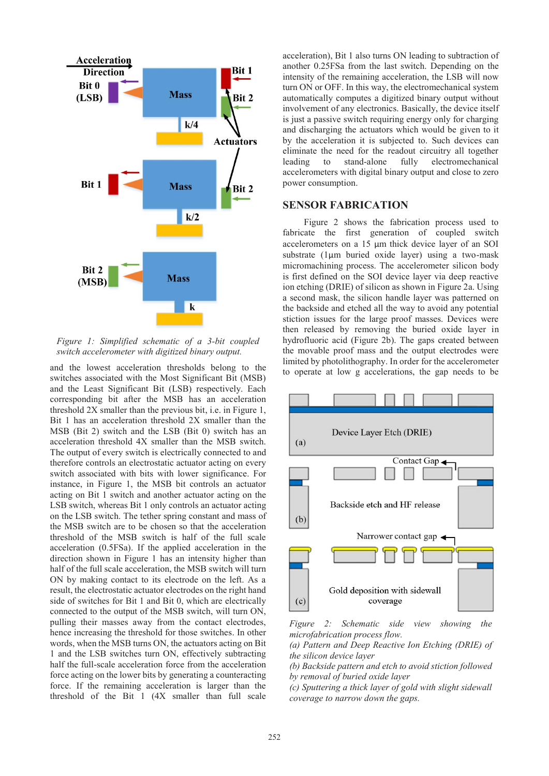

*Figure 1: Simplified schematic of a 3-bit coupled switch accelerometer with digitized binary output.*

and the lowest acceleration thresholds belong to the switches associated with the Most Significant Bit (MSB) and the Least Significant Bit (LSB) respectively. Each corresponding bit after the MSB has an acceleration threshold 2X smaller than the previous bit, i.e. in Figure 1, Bit 1 has an acceleration threshold 2X smaller than the MSB (Bit 2) switch and the LSB (Bit 0) switch has an acceleration threshold 4X smaller than the MSB switch. The output of every switch is electrically connected to and therefore controls an electrostatic actuator acting on every switch associated with bits with lower significance. For instance, in Figure 1, the MSB bit controls an actuator acting on Bit 1 switch and another actuator acting on the LSB switch, whereas Bit 1 only controls an actuator acting on the LSB switch. The tether spring constant and mass of the MSB switch are to be chosen so that the acceleration threshold of the MSB switch is half of the full scale acceleration (0.5FSa). If the applied acceleration in the direction shown in Figure 1 has an intensity higher than half of the full scale acceleration, the MSB switch will turn ON by making contact to its electrode on the left. As a result, the electrostatic actuator electrodes on the right hand side of switches for Bit 1 and Bit 0, which are electrically connected to the output of the MSB switch, will turn ON, pulling their masses away from the contact electrodes, hence increasing the threshold for those switches. In other words, when the MSB turns ON, the actuators acting on Bit 1 and the LSB switches turn ON, effectively subtracting half the full-scale acceleration force from the acceleration force acting on the lower bits by generating a counteracting force. If the remaining acceleration is larger than the threshold of the Bit 1 (4X smaller than full scale

acceleration), Bit 1 also turns ON leading to subtraction of another 0.25FSa from the last switch. Depending on the intensity of the remaining acceleration, the LSB will now turn ON or OFF. In this way, the electromechanical system automatically computes a digitized binary output without involvement of any electronics. Basically, the device itself is just a passive switch requiring energy only for charging and discharging the actuators which would be given to it by the acceleration it is subjected to. Such devices can eliminate the need for the readout circuitry all together leading to stand-alone fully electromechanical accelerometers with digital binary output and close to zero power consumption.

## **SENSOR FABRICATION**

 Figure 2 shows the fabrication process used to fabricate the first generation of coupled switch accelerometers on a 15 μm thick device layer of an SOI substrate (1μm buried oxide layer) using a two-mask micromachining process. The accelerometer silicon body is first defined on the SOI device layer via deep reactive ion etching (DRIE) of silicon as shown in Figure 2a. Using a second mask, the silicon handle layer was patterned on the backside and etched all the way to avoid any potential stiction issues for the large proof masses. Devices were then released by removing the buried oxide layer in hydrofluoric acid (Figure 2b). The gaps created between the movable proof mass and the output electrodes were limited by photolithography. In order for the accelerometer to operate at low g accelerations, the gap needs to be



*Figure 2: Schematic side view showing the microfabrication process flow.*

*(a) Pattern and Deep Reactive Ion Etching (DRIE) of the silicon device layer*

*(b) Backside pattern and etch to avoid stiction followed by removal of buried oxide layer*

*(c) Sputtering a thick layer of gold with slight sidewall coverage to narrow down the gaps.*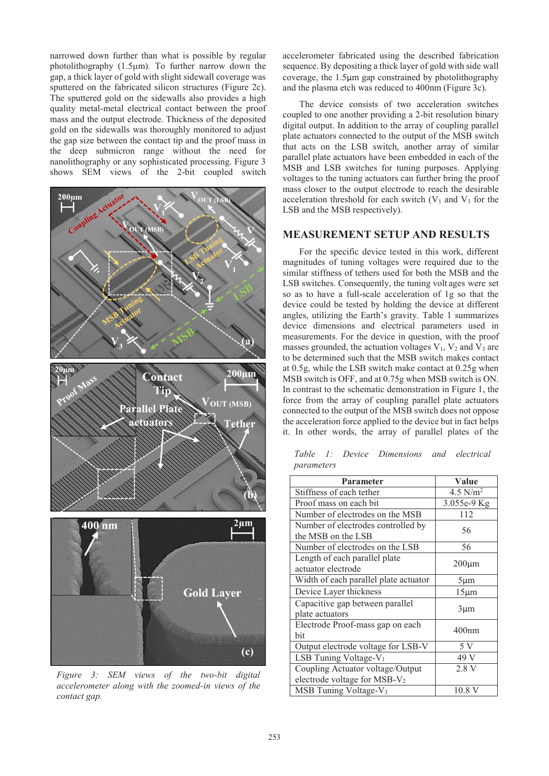narrowed down further than what is possible by regular photolithography (1.5μm). To further narrow down the gap, a thick layer of gold with slight sidewall coverage was sputtered on the fabricated silicon structures (Figure 2c). The sputtered gold on the sidewalls also provides a high quality metal-metal electrical contact between the proof mass and the output electrode. Thickness of the deposited gold on the sidewalls was thoroughly monitored to adjust the gap size between the contact tip and the proof mass in the deep submicron range without the need for nanolithography or any sophisticated processing. Figure 3 shows SEM views of the 2-bit coupled switch



*Figure 3: SEM views of the two-bit digital accelerometer along with the zoomed-in views of the contact gap.*

accelerometer fabricated using the described fabrication sequence. By depositing a thick layer of gold with side wall coverage, the 1.5μm gap constrained by photolithography and the plasma etch was reduced to 400nm (Figure 3c).

The device consists of two acceleration switches coupled to one another providing a 2-bit resolution binary digital output. In addition to the array of coupling parallel plate actuators connected to the output of the MSB switch that acts on the LSB switch, another array of similar parallel plate actuators have been embedded in each of the MSB and LSB switches for tuning purposes. Applying voltages to the tuning actuators can further bring the proof mass closer to the output electrode to reach the desirable acceleration threshold for each switch  $(V_1$  and  $V_3$  for the LSB and the MSB respectively).

#### **MEASUREMENT SETUP AND RESULTS**

For the specific device tested in this work, different magnitudes of tuning voltages were required due to the similar stiffness of tethers used for both the MSB and the LSB switches. Consequently, the tuning volt ages were set so as to have a full-scale acceleration of 1g so that the device could be tested by holding the device at different angles, utilizing the Earth's gravity. Table 1 summarizes device dimensions and electrical parameters used in measurements. For the device in question, with the proof masses grounded, the actuation voltages  $V_1$ ,  $V_2$  and  $V_3$  are to be determined such that the MSB switch makes contact at 0.5g, while the LSB switch make contact at 0.25g when MSB switch is OFF, and at 0.75g when MSB switch is ON. In contrast to the schematic demonstration in Figure 1, the force from the array of coupling parallel plate actuators connected to the output of the MSB switch does not oppose the acceleration force applied to the device but in fact helps it. In other words, the array of parallel plates of the

*Table 1: Device Dimensions and electrical parameters*

| <b>Parameter</b>                         | Value             |  |
|------------------------------------------|-------------------|--|
| Stiffness of each tether                 | 4.5 $N/m^2$       |  |
| Proof mass on each bit                   | 3.055e-9 Kg       |  |
| Number of electrodes on the MSB          | 112               |  |
| Number of electrodes controlled by       | 56                |  |
| the MSB on the LSB                       |                   |  |
| Number of electrodes on the LSB          | 56                |  |
| Length of each parallel plate            | $200 \mu m$       |  |
| actuator electrode                       |                   |  |
| Width of each parallel plate actuator    | $5 \mu m$         |  |
| Device Layer thickness                   | $15 \mu m$        |  |
| Capacitive gap between parallel          | $3 \mu m$         |  |
| plate actuators                          |                   |  |
| Electrode Proof-mass gap on each         | 400 <sub>nm</sub> |  |
| hit                                      |                   |  |
| Output electrode voltage for LSB-V       | 5 V               |  |
| LSB Tuning Voltage-V <sub>1</sub>        | 49 V              |  |
| Coupling Actuator voltage/Output         | 2.8V              |  |
| electrode voltage for MSB-V <sub>2</sub> |                   |  |
| MSB Tuning Voltage-V <sub>3</sub>        | 10.8 V            |  |